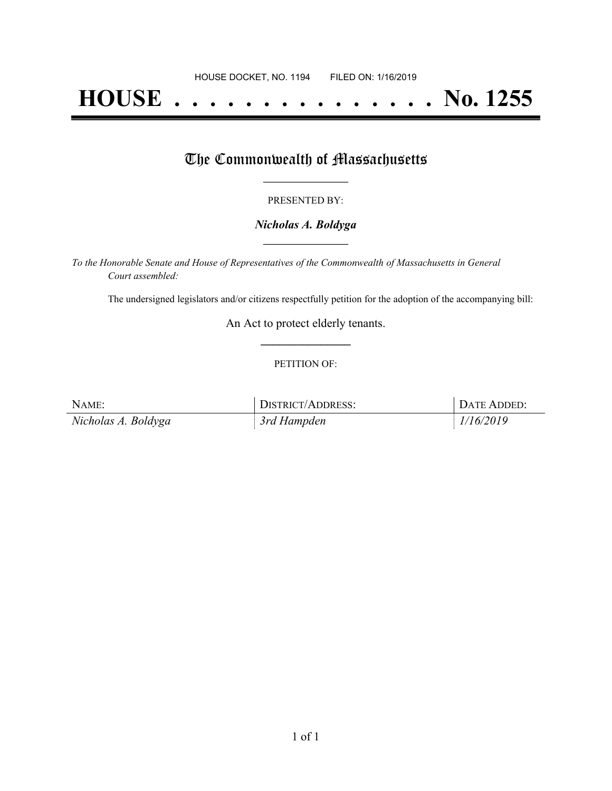# **HOUSE . . . . . . . . . . . . . . . No. 1255**

## The Commonwealth of Massachusetts

#### PRESENTED BY:

#### *Nicholas A. Boldyga* **\_\_\_\_\_\_\_\_\_\_\_\_\_\_\_\_\_**

*To the Honorable Senate and House of Representatives of the Commonwealth of Massachusetts in General Court assembled:*

The undersigned legislators and/or citizens respectfully petition for the adoption of the accompanying bill:

An Act to protect elderly tenants. **\_\_\_\_\_\_\_\_\_\_\_\_\_\_\_**

#### PETITION OF:

| NAME:               | DISTRICT/ADDRESS: | DATE ADDED: |
|---------------------|-------------------|-------------|
| Nicholas A. Boldyga | 3rd Hampden       | 1/16/2019   |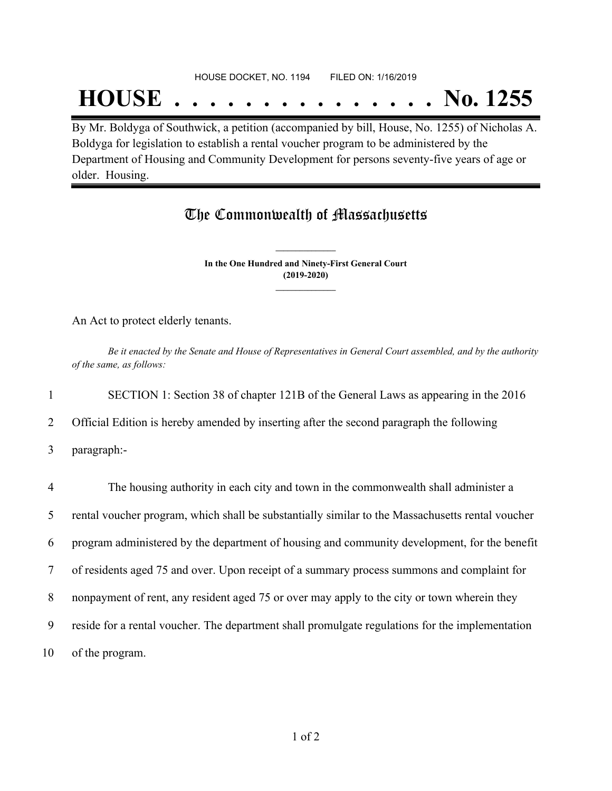#### HOUSE DOCKET, NO. 1194 FILED ON: 1/16/2019

## **HOUSE . . . . . . . . . . . . . . . No. 1255**

By Mr. Boldyga of Southwick, a petition (accompanied by bill, House, No. 1255) of Nicholas A. Boldyga for legislation to establish a rental voucher program to be administered by the Department of Housing and Community Development for persons seventy-five years of age or older. Housing.

### The Commonwealth of Massachusetts

**In the One Hundred and Ninety-First General Court (2019-2020) \_\_\_\_\_\_\_\_\_\_\_\_\_\_\_**

**\_\_\_\_\_\_\_\_\_\_\_\_\_\_\_**

An Act to protect elderly tenants.

Be it enacted by the Senate and House of Representatives in General Court assembled, and by the authority *of the same, as follows:*

1 SECTION 1: Section 38 of chapter 121B of the General Laws as appearing in the 2016

2 Official Edition is hereby amended by inserting after the second paragraph the following

3 paragraph:-

| $\overline{4}$ | The housing authority in each city and town in the commonwealth shall administer a               |
|----------------|--------------------------------------------------------------------------------------------------|
| 5              | rental voucher program, which shall be substantially similar to the Massachusetts rental voucher |
| 6              | program administered by the department of housing and community development, for the benefit     |
|                | of residents aged 75 and over. Upon receipt of a summary process summons and complaint for       |
| 8              | nonpayment of rent, any resident aged 75 or over may apply to the city or town wherein they      |
| 9              | reside for a rental voucher. The department shall promulgate regulations for the implementation  |
| 10             | of the program.                                                                                  |